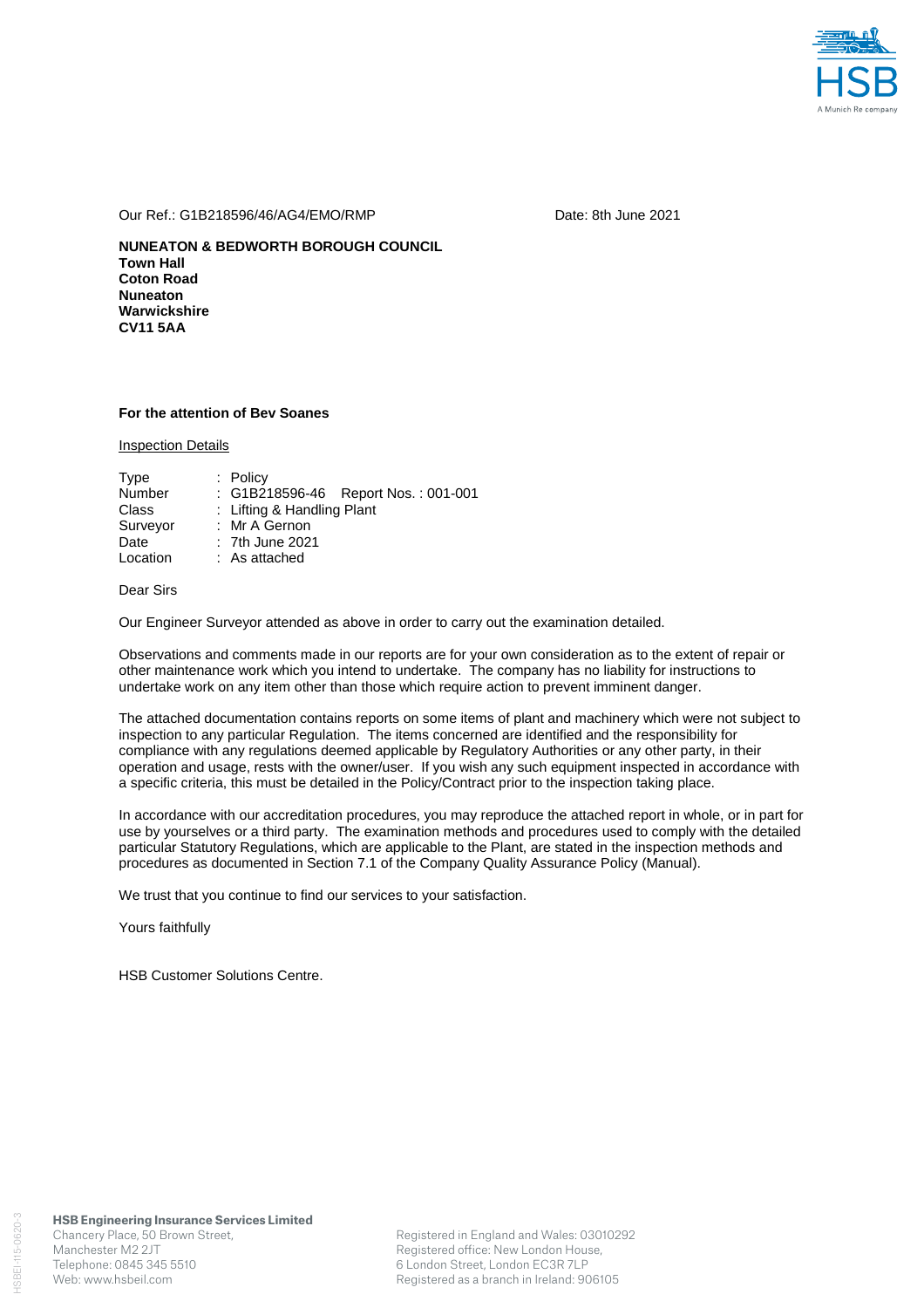

#### Our Ref.: G1B218596/46/AG4/EMO/RMP Date: 8th June 2021

**NUNEATON & BEDWORTH BOROUGH COUNCIL Town Hall Coton Road Nuneaton Warwickshire CV11 5AA** 

### **For the attention of Bev Soanes**

Inspection Details

| Type     | $:$ Policy                          |
|----------|-------------------------------------|
| Number   | : G1B218596-46 Report Nos.: 001-001 |
| Class    | : Lifting & Handling Plant          |
| Surveyor | : Mr A Gernon                       |
| Date     | : 7th June 2021                     |
| Location | $:$ As attached                     |

## Dear Sirs

Our Engineer Surveyor attended as above in order to carry out the examination detailed.

Observations and comments made in our reports are for your own consideration as to the extent of repair or other maintenance work which you intend to undertake. The company has no liability for instructions to undertake work on any item other than those which require action to prevent imminent danger.

The attached documentation contains reports on some items of plant and machinery which were not subject to inspection to any particular Regulation. The items concerned are identified and the responsibility for compliance with any regulations deemed applicable by Regulatory Authorities or any other party, in their operation and usage, rests with the owner/user. If you wish any such equipment inspected in accordance with a specific criteria, this must be detailed in the Policy/Contract prior to the inspection taking place.

In accordance with our accreditation procedures, you may reproduce the attached report in whole, or in part for use by yourselves or a third party. The examination methods and procedures used to comply with the detailed particular Statutory Regulations, which are applicable to the Plant, are stated in the inspection methods and procedures as documented in Section 7.1 of the Company Quality Assurance Policy (Manual).

We trust that you continue to find our services to your satisfaction.

Yours faithfully

HSB Customer Solutions Centre.